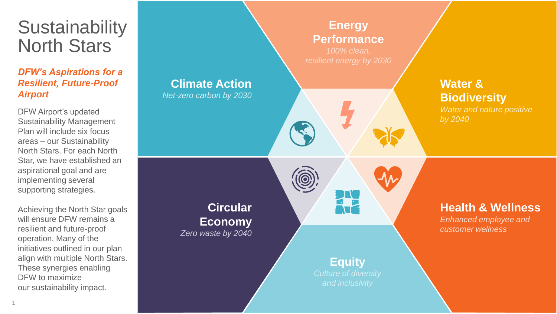## **Sustainability** North Stars

## *DFW's Aspirations for a Resilient, Future -Proof Airport*

DFW Airport's updated Sustainability Management Plan will include six focus areas – our Sustainability North Stars. For each North Star, we have established an aspirational goal and are implementing several supporting strategies.

Achieving the North Star goals will ensure DFW remains a resilient and future -proof operation. Many of the initiatives outlined in our plan align with multiple North Stars. These synergies enabling DFW to maximize our sustainability impact.

## **Water & Biodiversity** *Water and nature positive by 2040* **Health & Wellness** *Enhanced employee and customer wellness* **Climate Action** *Net -zero carbon by 2030* **Circular Economy** *Zero waste by 2040* **Energy Performance** *100% clean,*  **Equity**